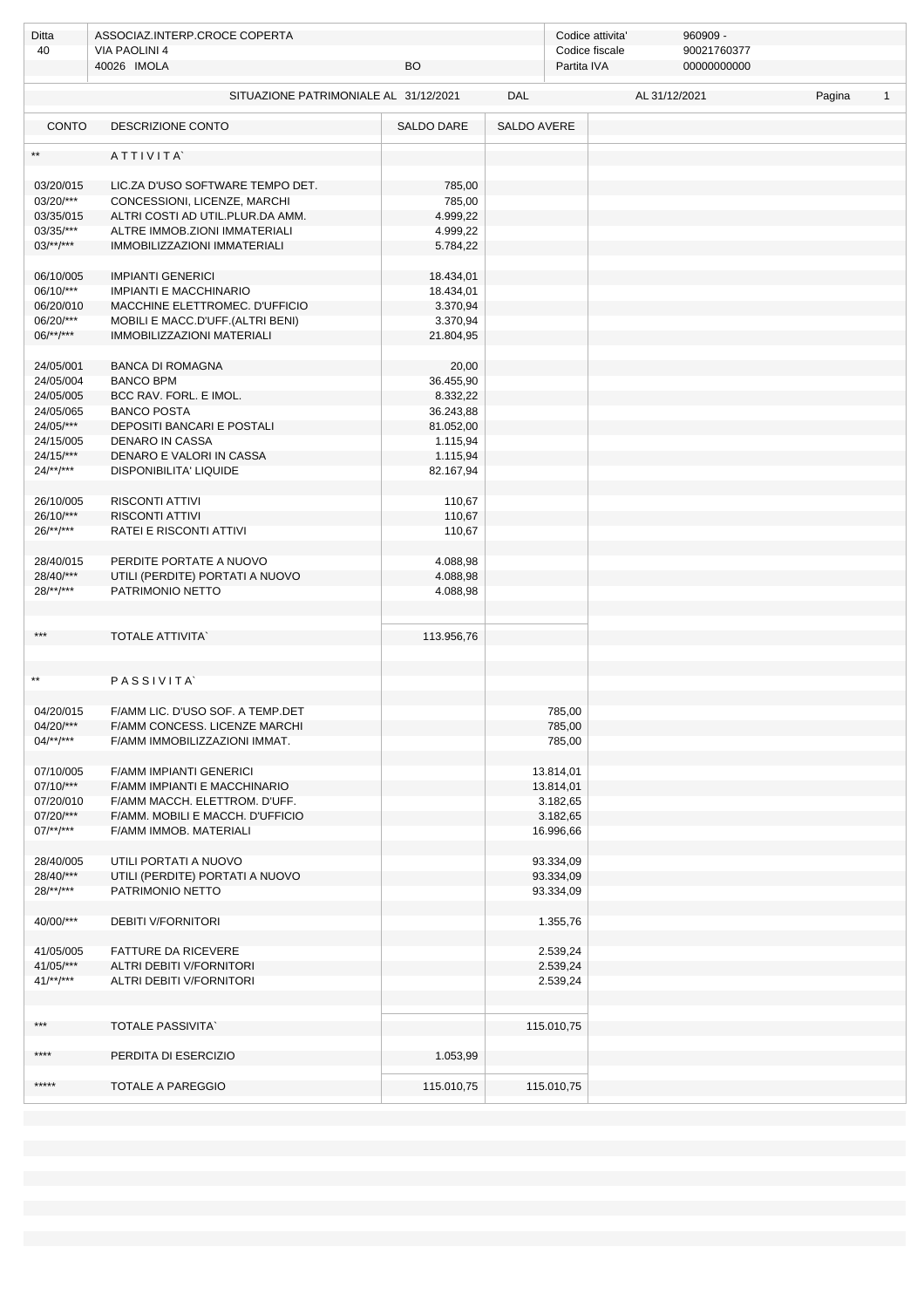| Ditta                     | ASSOCIAZ.INTERP.CROCE COPERTA                                    |                       |             | 960909 -<br>Codice attivita'                                |  |               |        |              |  |  |
|---------------------------|------------------------------------------------------------------|-----------------------|-------------|-------------------------------------------------------------|--|---------------|--------|--------------|--|--|
| 40                        | <b>VIA PAOLINI 4</b><br>40026 IMOLA<br><b>BO</b>                 |                       |             | 90021760377<br>Codice fiscale<br>00000000000<br>Partita IVA |  |               |        |              |  |  |
|                           |                                                                  |                       |             |                                                             |  |               |        |              |  |  |
|                           | SITUAZIONE PATRIMONIALE AL 31/12/2021                            |                       | <b>DAL</b>  |                                                             |  | AL 31/12/2021 | Pagina | $\mathbf{1}$ |  |  |
| <b>CONTO</b>              | <b>DESCRIZIONE CONTO</b>                                         | SALDO DARE            | SALDO AVERE |                                                             |  |               |        |              |  |  |
| $**$                      | ATTIVITA                                                         |                       |             |                                                             |  |               |        |              |  |  |
|                           |                                                                  |                       |             |                                                             |  |               |        |              |  |  |
| 03/20/015<br>03/20/***    | LIC.ZA D'USO SOFTWARE TEMPO DET.<br>CONCESSIONI, LICENZE, MARCHI | 785,00<br>785,00      |             |                                                             |  |               |        |              |  |  |
| 03/35/015                 | ALTRI COSTI AD UTIL.PLUR.DA AMM.                                 | 4.999,22              |             |                                                             |  |               |        |              |  |  |
| 03/35/***                 | ALTRE IMMOB.ZIONI IMMATERIALI                                    | 4.999,22              |             |                                                             |  |               |        |              |  |  |
| $03$ /**/***              | IMMOBILIZZAZIONI IMMATERIALI                                     | 5.784,22              |             |                                                             |  |               |        |              |  |  |
|                           |                                                                  |                       |             |                                                             |  |               |        |              |  |  |
| 06/10/005                 | <b>IMPIANTI GENERICI</b>                                         | 18.434,01             |             |                                                             |  |               |        |              |  |  |
| 06/10/***                 | <b>IMPIANTI E MACCHINARIO</b>                                    | 18.434,01             |             |                                                             |  |               |        |              |  |  |
| 06/20/010                 | MACCHINE ELETTROMEC. D'UFFICIO                                   | 3.370,94              |             |                                                             |  |               |        |              |  |  |
| 06/20/***                 | MOBILI E MACC.D'UFF.(ALTRI BENI)                                 | 3.370,94              |             |                                                             |  |               |        |              |  |  |
| $06/**/***$               | <b>IMMOBILIZZAZIONI MATERIALI</b>                                | 21.804,95             |             |                                                             |  |               |        |              |  |  |
|                           |                                                                  |                       |             |                                                             |  |               |        |              |  |  |
| 24/05/001                 | <b>BANCA DI ROMAGNA</b>                                          | 20,00                 |             |                                                             |  |               |        |              |  |  |
| 24/05/004                 | <b>BANCO BPM</b>                                                 | 36.455,90             |             |                                                             |  |               |        |              |  |  |
| 24/05/005<br>24/05/065    | BCC RAV. FORL. E IMOL.<br><b>BANCO POSTA</b>                     | 8.332,22<br>36.243,88 |             |                                                             |  |               |        |              |  |  |
| 24/05/***                 | DEPOSITI BANCARI E POSTALI                                       | 81.052,00             |             |                                                             |  |               |        |              |  |  |
| 24/15/005                 | <b>DENARO IN CASSA</b>                                           | 1.115,94              |             |                                                             |  |               |        |              |  |  |
| $24/15$ /***              | DENARO E VALORI IN CASSA                                         | 1.115,94              |             |                                                             |  |               |        |              |  |  |
| $24$ /**/***              | DISPONIBILITA' LIQUIDE                                           | 82.167,94             |             |                                                             |  |               |        |              |  |  |
|                           |                                                                  |                       |             |                                                             |  |               |        |              |  |  |
| 26/10/005                 | <b>RISCONTI ATTIVI</b>                                           | 110,67                |             |                                                             |  |               |        |              |  |  |
| 26/10/***                 | <b>RISCONTI ATTIVI</b>                                           | 110,67                |             |                                                             |  |               |        |              |  |  |
| $26$ /**/***              | RATEI E RISCONTI ATTIVI                                          | 110,67                |             |                                                             |  |               |        |              |  |  |
|                           |                                                                  |                       |             |                                                             |  |               |        |              |  |  |
| 28/40/015                 | PERDITE PORTATE A NUOVO                                          | 4.088,98              |             |                                                             |  |               |        |              |  |  |
| 28/40/***                 | UTILI (PERDITE) PORTATI A NUOVO                                  | 4.088,98              |             |                                                             |  |               |        |              |  |  |
| $28$ /**/***              | PATRIMONIO NETTO                                                 | 4.088,98              |             |                                                             |  |               |        |              |  |  |
|                           |                                                                  |                       |             |                                                             |  |               |        |              |  |  |
| ***                       | <b>TOTALE ATTIVITA</b>                                           | 113.956,76            |             |                                                             |  |               |        |              |  |  |
|                           |                                                                  |                       |             |                                                             |  |               |        |              |  |  |
|                           |                                                                  |                       |             |                                                             |  |               |        |              |  |  |
| $\star\star$              | PASSIVITA                                                        |                       |             |                                                             |  |               |        |              |  |  |
|                           |                                                                  |                       |             |                                                             |  |               |        |              |  |  |
| 04/20/015                 | F/AMM LIC. D'USO SOF. A TEMP.DET                                 |                       |             | 785.00                                                      |  |               |        |              |  |  |
| 04/20/***                 | F/AMM CONCESS. LICENZE MARCHI                                    |                       |             | 785,00                                                      |  |               |        |              |  |  |
| $04/**/***$               | F/AMM IMMOBILIZZAZIONI IMMAT.                                    |                       |             | 785,00                                                      |  |               |        |              |  |  |
|                           |                                                                  |                       |             |                                                             |  |               |        |              |  |  |
| 07/10/005<br>$07/10$ /*** | F/AMM IMPIANTI GENERICI<br>F/AMM IMPIANTI E MACCHINARIO          |                       |             | 13.814,01<br>13.814,01                                      |  |               |        |              |  |  |
| 07/20/010                 | F/AMM MACCH. ELETTROM. D'UFF.                                    |                       |             | 3.182,65                                                    |  |               |        |              |  |  |
| 07/20/***                 | F/AMM. MOBILI E MACCH. D'UFFICIO                                 |                       |             | 3.182,65                                                    |  |               |        |              |  |  |
| $07$ /**/***              | F/AMM IMMOB. MATERIALI                                           |                       |             | 16.996,66                                                   |  |               |        |              |  |  |
|                           |                                                                  |                       |             |                                                             |  |               |        |              |  |  |
| 28/40/005                 | UTILI PORTATI A NUOVO                                            |                       |             | 93.334,09                                                   |  |               |        |              |  |  |
| 28/40/***                 | UTILI (PERDITE) PORTATI A NUOVO                                  |                       |             | 93.334,09                                                   |  |               |        |              |  |  |
| $28$ /**/***              | PATRIMONIO NETTO                                                 |                       |             | 93.334,09                                                   |  |               |        |              |  |  |
|                           |                                                                  |                       |             |                                                             |  |               |        |              |  |  |
| 40/00/***                 | <b>DEBITI V/FORNITORI</b>                                        |                       |             | 1.355,76                                                    |  |               |        |              |  |  |
|                           |                                                                  |                       |             |                                                             |  |               |        |              |  |  |
| 41/05/005<br>41/05/***    | <b>FATTURE DA RICEVERE</b><br>ALTRI DEBITI V/FORNITORI           |                       |             | 2.539,24<br>2.539,24                                        |  |               |        |              |  |  |
| $41$ /**/***              | ALTRI DEBITI V/FORNITORI                                         |                       |             | 2.539,24                                                    |  |               |        |              |  |  |
|                           |                                                                  |                       |             |                                                             |  |               |        |              |  |  |
|                           |                                                                  |                       |             |                                                             |  |               |        |              |  |  |
| $***$                     | <b>TOTALE PASSIVITA</b>                                          |                       |             | 115.010,75                                                  |  |               |        |              |  |  |
|                           |                                                                  |                       |             |                                                             |  |               |        |              |  |  |
| ****                      | PERDITA DI ESERCIZIO                                             | 1.053,99              |             |                                                             |  |               |        |              |  |  |
|                           |                                                                  |                       |             |                                                             |  |               |        |              |  |  |
| *****                     | TOTALE A PAREGGIO                                                | 115.010,75            |             | 115.010,75                                                  |  |               |        |              |  |  |
|                           |                                                                  |                       |             |                                                             |  |               |        |              |  |  |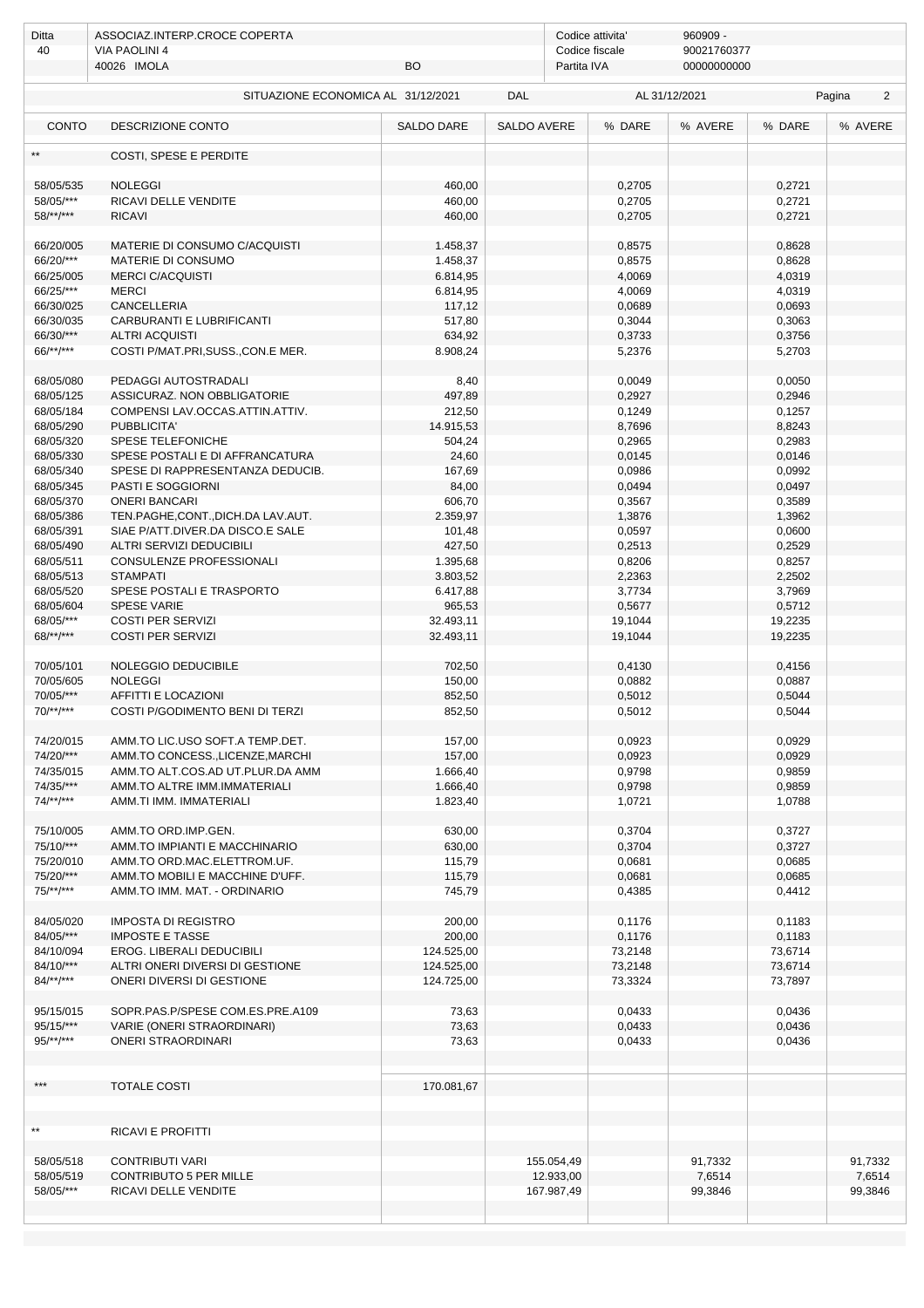| Ditta                     | ASSOCIAZ.INTERP.CROCE COPERTA                    |                    |                    | Codice attivita' | 960909 -      |                  |             |
|---------------------------|--------------------------------------------------|--------------------|--------------------|------------------|---------------|------------------|-------------|
| 40                        | VIA PAOLINI 4                                    |                    |                    | Codice fiscale   | 90021760377   |                  |             |
|                           | 40026 IMOLA                                      | BO                 |                    | Partita IVA      | 00000000000   |                  |             |
|                           | SITUAZIONE ECONOMICA AL 31/12/2021               |                    | DAL                |                  | AL 31/12/2021 |                  | Pagina<br>2 |
| <b>CONTO</b>              | DESCRIZIONE CONTO                                | <b>SALDO DARE</b>  | <b>SALDO AVERE</b> | % DARE           | % AVERE       | % DARE           | % AVERE     |
|                           | COSTI, SPESE E PERDITE                           |                    |                    |                  |               |                  |             |
|                           |                                                  |                    |                    |                  |               |                  |             |
| 58/05/535                 | <b>NOLEGGI</b>                                   | 460,00             |                    | 0,2705           |               | 0,2721           |             |
| 58/05/***<br>$58$ /**/*** | RICAVI DELLE VENDITE<br><b>RICAVI</b>            | 460,00<br>460,00   |                    | 0,2705           |               | 0,2721<br>0,2721 |             |
|                           |                                                  |                    |                    | 0,2705           |               |                  |             |
| 66/20/005                 | MATERIE DI CONSUMO C/ACQUISTI                    | 1.458,37           |                    | 0,8575           |               | 0,8628           |             |
| 66/20/***                 | MATERIE DI CONSUMO                               | 1.458,37           |                    | 0,8575           |               | 0,8628           |             |
| 66/25/005                 | <b>MERCI C/ACQUISTI</b>                          | 6.814,95           |                    | 4,0069           |               | 4,0319           |             |
| 66/25/***                 | <b>MERCI</b>                                     | 6.814,95           |                    | 4,0069           |               | 4,0319           |             |
| 66/30/025                 | <b>CANCELLERIA</b>                               | 117,12             |                    | 0,0689           |               | 0,0693           |             |
| 66/30/035                 | CARBURANTI E LUBRIFICANTI                        | 517,80             |                    | 0,3044           |               | 0,3063           |             |
| 66/30/***                 | <b>ALTRI ACQUISTI</b>                            | 634,92             |                    | 0,3733           |               | 0,3756           |             |
| 66/**/***                 | COSTI P/MAT.PRI, SUSS., CON.E MER.               | 8.908,24           |                    | 5,2376           |               | 5,2703           |             |
| 68/05/080                 | PEDAGGI AUTOSTRADALI                             | 8,40               |                    | 0,0049           |               | 0,0050           |             |
| 68/05/125                 | ASSICURAZ. NON OBBLIGATORIE                      | 497,89             |                    | 0,2927           |               | 0,2946           |             |
| 68/05/184                 | COMPENSI LAV.OCCAS.ATTIN.ATTIV.                  | 212,50             |                    | 0,1249           |               | 0,1257           |             |
| 68/05/290                 | PUBBLICITA'                                      | 14.915,53          |                    | 8,7696           |               | 8,8243           |             |
| 68/05/320                 | SPESE TELEFONICHE                                | 504,24             |                    | 0,2965           |               | 0,2983           |             |
| 68/05/330                 | SPESE POSTALI E DI AFFRANCATURA                  | 24,60              |                    | 0,0145           |               | 0,0146           |             |
| 68/05/340                 | SPESE DI RAPPRESENTANZA DEDUCIB.                 | 167,69             |                    | 0,0986           |               | 0,0992           |             |
| 68/05/345                 | <b>PASTI E SOGGIORNI</b><br><b>ONERI BANCARI</b> | 84,00              |                    | 0,0494           |               | 0,0497           |             |
| 68/05/370<br>68/05/386    | TEN.PAGHE,CONT.,DICH.DA LAV.AUT.                 | 606,70<br>2.359,97 |                    | 0,3567<br>1,3876 |               | 0,3589<br>1,3962 |             |
| 68/05/391                 | SIAE P/ATT.DIVER.DA DISCO.E SALE                 | 101,48             |                    | 0,0597           |               | 0,0600           |             |
| 68/05/490                 | ALTRI SERVIZI DEDUCIBILI                         | 427,50             |                    | 0,2513           |               | 0,2529           |             |
| 68/05/511                 | CONSULENZE PROFESSIONALI                         | 1.395,68           |                    | 0,8206           |               | 0,8257           |             |
| 68/05/513                 | <b>STAMPATI</b>                                  | 3.803,52           |                    | 2,2363           |               | 2,2502           |             |
| 68/05/520                 | SPESE POSTALI E TRASPORTO                        | 6.417,88           |                    | 3,7734           |               | 3,7969           |             |
| 68/05/604                 | <b>SPESE VARIE</b>                               | 965,53             |                    | 0,5677           |               | 0,5712           |             |
| 68/05/***                 | <b>COSTI PER SERVIZI</b>                         | 32.493,11          |                    | 19,1044          |               | 19,2235          |             |
| $68$ /**/***              | <b>COSTI PER SERVIZI</b>                         | 32.493,11          |                    | 19,1044          |               | 19,2235          |             |
| 70/05/101                 | NOLEGGIO DEDUCIBILE                              | 702,50             |                    | 0,4130           |               | 0,4156           |             |
| 70/05/605                 | <b>NOLEGGI</b>                                   | 150,00             |                    | 0,0882           |               | 0,0887           |             |
| 70/05/***                 | AFFITTI E LOCAZIONI                              | 852,50             |                    | 0,5012           |               | 0,5044           |             |
| 70/**/***                 | COSTI P/GODIMENTO BENI DI TERZI                  | 852,50             |                    | 0,5012           |               | 0,5044           |             |
|                           |                                                  |                    |                    |                  |               |                  |             |
| 74/20/015                 | AMM.TO LIC.USO SOFT.A TEMP.DET.                  | 157,00             |                    | 0,0923           |               | 0,0929           |             |
| 74/20/***                 | AMM.TO CONCESS., LICENZE, MARCHI                 | 157,00             |                    | 0,0923           |               | 0,0929           |             |
| 74/35/015                 | AMM.TO ALT.COS.AD UT.PLUR.DA AMM                 | 1.666,40           |                    | 0,9798           |               | 0,9859           |             |
| 74/35/***                 | AMM.TO ALTRE IMM.IMMATERIALI                     | 1.666,40           |                    | 0,9798           |               | 0,9859           |             |
| $74$ /**/***              | AMM.TI IMM. IMMATERIALI                          | 1.823,40           |                    | 1,0721           |               | 1,0788           |             |
| 75/10/005                 | AMM.TO ORD.IMP.GEN.                              | 630,00             |                    | 0,3704           |               | 0,3727           |             |
| 75/10/***                 | AMM. TO IMPIANTI E MACCHINARIO                   | 630,00             |                    | 0,3704           |               | 0,3727           |             |
| 75/20/010                 | AMM.TO ORD.MAC.ELETTROM.UF.                      | 115,79             |                    | 0,0681           |               | 0,0685           |             |
| 75/20/***                 | AMM.TO MOBILI E MACCHINE D'UFF.                  | 115,79             |                    | 0,0681           |               | 0,0685           |             |
| $75/**/***$               | AMM.TO IMM. MAT. - ORDINARIO                     | 745,79             |                    | 0,4385           |               | 0,4412           |             |
| 84/05/020                 | <b>IMPOSTA DI REGISTRO</b>                       | 200,00             |                    | 0,1176           |               | 0,1183           |             |
| 84/05/***                 | <b>IMPOSTE E TASSE</b>                           | 200,00             |                    | 0,1176           |               | 0,1183           |             |
| 84/10/094                 | EROG. LIBERALI DEDUCIBILI                        | 124.525,00         |                    | 73,2148          |               | 73,6714          |             |
| 84/10/***                 | ALTRI ONERI DIVERSI DI GESTIONE                  | 124.525,00         |                    | 73,2148          |               | 73,6714          |             |
| $84$ /**/***              | ONERI DIVERSI DI GESTIONE                        | 124.725,00         |                    | 73,3324          |               | 73,7897          |             |
| 95/15/015                 | SOPR.PAS.P/SPESE COM.ES.PRE.A109                 | 73,63              |                    | 0,0433           |               | 0,0436           |             |
| 95/15/***                 | VARIE (ONERI STRAORDINARI)                       | 73,63              |                    | 0,0433           |               | 0,0436           |             |
| $95/**/***$               | <b>ONERI STRAORDINARI</b>                        | 73,63              |                    | 0,0433           |               | 0,0436           |             |
|                           |                                                  |                    |                    |                  |               |                  |             |
|                           |                                                  |                    |                    |                  |               |                  |             |
| ***                       | <b>TOTALE COSTI</b>                              | 170.081,67         |                    |                  |               |                  |             |
|                           |                                                  |                    |                    |                  |               |                  |             |
| $\star\star$              | RICAVI E PROFITTI                                |                    |                    |                  |               |                  |             |
|                           |                                                  |                    |                    |                  |               |                  |             |
| 58/05/518                 | <b>CONTRIBUTI VARI</b>                           |                    | 155.054,49         |                  | 91,7332       |                  | 91,7332     |
| 58/05/519                 | <b>CONTRIBUTO 5 PER MILLE</b>                    |                    | 12.933,00          |                  | 7,6514        |                  | 7,6514      |
| 58/05/***                 | RICAVI DELLE VENDITE                             |                    | 167.987,49         |                  | 99,3846       |                  | 99,3846     |
|                           |                                                  |                    |                    |                  |               |                  |             |